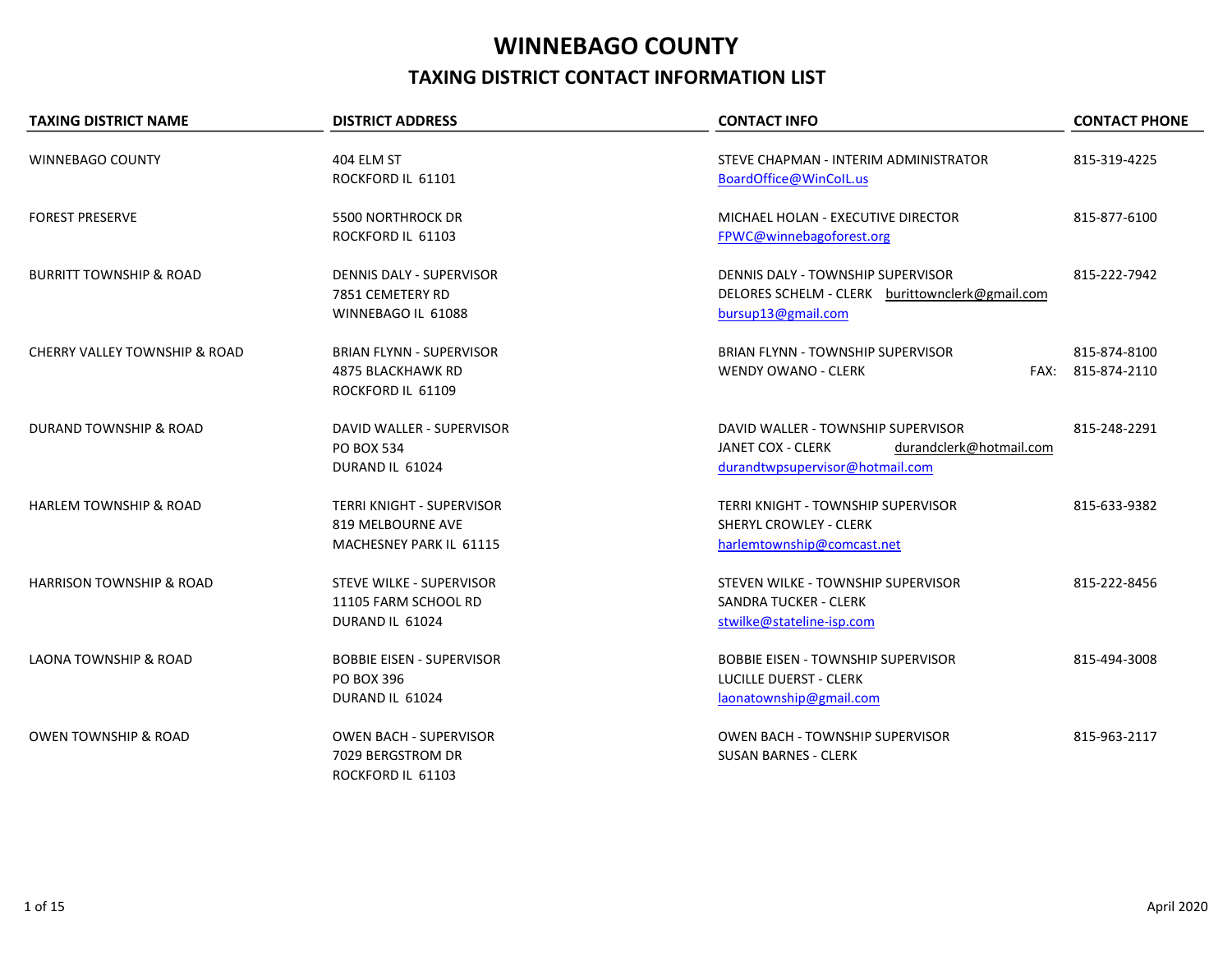## WINNEBAGO COUNTY TAXING DISTRICT CONTACT INFORMATION LIST

| <b>TAXING DISTRICT NAME</b>         | <b>DISTRICT ADDRESS</b>                                                          | <b>CONTACT INFO</b>                                                                                                   | <b>CONTACT PHONE</b>              |
|-------------------------------------|----------------------------------------------------------------------------------|-----------------------------------------------------------------------------------------------------------------------|-----------------------------------|
| WINNEBAGO COUNTY                    | 404 ELM ST<br>ROCKFORD IL 61101                                                  | STEVE CHAPMAN - INTERIM ADMINISTRATOR<br>BoardOffice@WinColL.us                                                       | 815-319-4225                      |
| <b>FOREST PRESERVE</b>              | <b>5500 NORTHROCK DR</b><br>ROCKFORD IL 61103                                    | MICHAEL HOLAN - EXECUTIVE DIRECTOR<br>FPWC@winnebagoforest.org                                                        | 815-877-6100                      |
| <b>BURRITT TOWNSHIP &amp; ROAD</b>  | <b>DENNIS DALY - SUPERVISOR</b><br>7851 CEMETERY RD<br>WINNEBAGO IL 61088        | DENNIS DALY - TOWNSHIP SUPERVISOR<br>DELORES SCHELM - CLERK burittownclerk@gmail.com<br>bursup13@gmail.com            | 815-222-7942                      |
| CHERRY VALLEY TOWNSHIP & ROAD       | <b>BRIAN FLYNN - SUPERVISOR</b><br><b>4875 BLACKHAWK RD</b><br>ROCKFORD IL 61109 | <b>BRIAN FLYNN - TOWNSHIP SUPERVISOR</b><br><b>WENDY OWANO - CLERK</b>                                                | 815-874-8100<br>FAX: 815-874-2110 |
| DURAND TOWNSHIP & ROAD              | DAVID WALLER - SUPERVISOR<br><b>PO BOX 534</b><br>DURAND IL 61024                | DAVID WALLER - TOWNSHIP SUPERVISOR<br>JANET COX - CLERK<br>durandclerk@hotmail.com<br>durandtwpsupervisor@hotmail.com | 815-248-2291                      |
| <b>HARLEM TOWNSHIP &amp; ROAD</b>   | <b>TERRI KNIGHT - SUPERVISOR</b><br>819 MELBOURNE AVE<br>MACHESNEY PARK IL 61115 | <b>TERRI KNIGHT - TOWNSHIP SUPERVISOR</b><br><b>SHERYL CROWLEY - CLERK</b><br>harlemtownship@comcast.net              | 815-633-9382                      |
| <b>HARRISON TOWNSHIP &amp; ROAD</b> | <b>STEVE WILKE - SUPERVISOR</b><br>11105 FARM SCHOOL RD<br>DURAND IL 61024       | STEVEN WILKE - TOWNSHIP SUPERVISOR<br><b>SANDRA TUCKER - CLERK</b><br>stwilke@stateline-isp.com                       | 815-222-8456                      |
| <b>LAONA TOWNSHIP &amp; ROAD</b>    | <b>BOBBIE EISEN - SUPERVISOR</b><br><b>PO BOX 396</b><br>DURAND IL 61024         | <b>BOBBIE EISEN - TOWNSHIP SUPERVISOR</b><br>LUCILLE DUERST - CLERK<br>laonatownship@gmail.com                        | 815-494-3008                      |
| <b>OWEN TOWNSHIP &amp; ROAD</b>     | <b>OWEN BACH - SUPERVISOR</b><br>7029 BERGSTROM DR<br>ROCKFORD IL 61103          | <b>OWEN BACH - TOWNSHIP SUPERVISOR</b><br><b>SUSAN BARNES - CLERK</b>                                                 | 815-963-2117                      |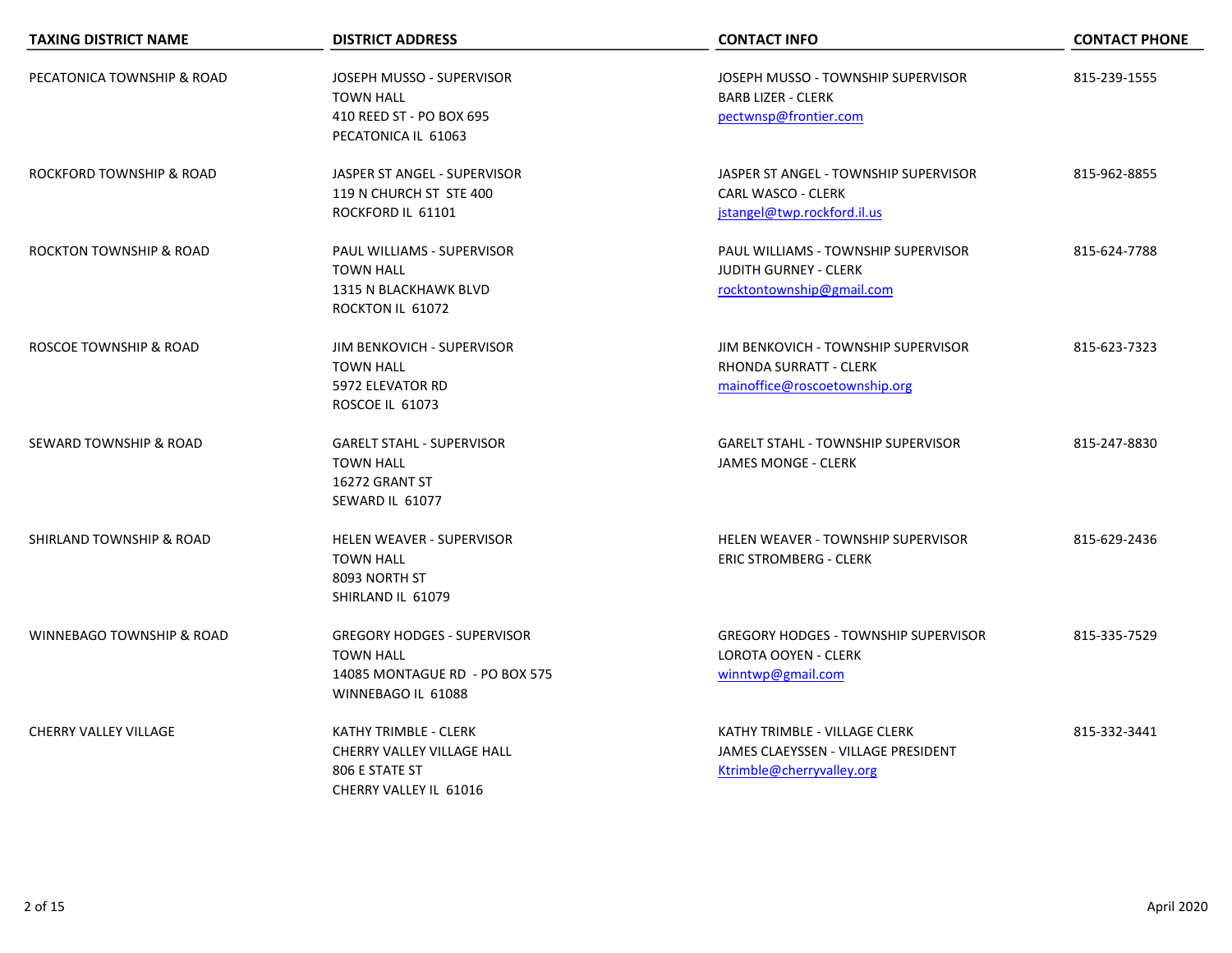| <b>TAXING DISTRICT NAME</b>  | <b>DISTRICT ADDRESS</b>                                                                                        | <b>CONTACT INFO</b>                                                                               | <b>CONTACT PHONE</b> |
|------------------------------|----------------------------------------------------------------------------------------------------------------|---------------------------------------------------------------------------------------------------|----------------------|
| PECATONICA TOWNSHIP & ROAD   | JOSEPH MUSSO - SUPERVISOR<br><b>TOWN HALL</b><br>410 REED ST - PO BOX 695<br>PECATONICA IL 61063               | JOSEPH MUSSO - TOWNSHIP SUPERVISOR<br><b>BARB LIZER - CLERK</b><br>pectwnsp@frontier.com          | 815-239-1555         |
| ROCKFORD TOWNSHIP & ROAD     | JASPER ST ANGEL - SUPERVISOR<br>119 N CHURCH ST STE 400<br>ROCKFORD IL 61101                                   | JASPER ST ANGEL - TOWNSHIP SUPERVISOR<br><b>CARL WASCO - CLERK</b><br>jstangel@twp.rockford.il.us | 815-962-8855         |
| ROCKTON TOWNSHIP & ROAD      | PAUL WILLIAMS - SUPERVISOR<br><b>TOWN HALL</b><br><b>1315 N BLACKHAWK BLVD</b><br>ROCKTON IL 61072             | PAUL WILLIAMS - TOWNSHIP SUPERVISOR<br><b>JUDITH GURNEY - CLERK</b><br>rocktontownship@gmail.com  | 815-624-7788         |
| ROSCOE TOWNSHIP & ROAD       | JIM BENKOVICH - SUPERVISOR<br><b>TOWN HALL</b><br>5972 ELEVATOR RD<br><b>ROSCOE IL 61073</b>                   | JIM BENKOVICH - TOWNSHIP SUPERVISOR<br>RHONDA SURRATT - CLERK<br>mainoffice@roscoetownship.org    | 815-623-7323         |
| SEWARD TOWNSHIP & ROAD       | <b>GARELT STAHL - SUPERVISOR</b><br><b>TOWN HALL</b><br>16272 GRANT ST<br>SEWARD IL 61077                      | <b>GARELT STAHL - TOWNSHIP SUPERVISOR</b><br><b>JAMES MONGE - CLERK</b>                           | 815-247-8830         |
| SHIRLAND TOWNSHIP & ROAD     | <b>HELEN WEAVER - SUPERVISOR</b><br><b>TOWN HALL</b><br>8093 NORTH ST<br>SHIRLAND IL 61079                     | <b>HELEN WEAVER - TOWNSHIP SUPERVISOR</b><br><b>ERIC STROMBERG - CLERK</b>                        | 815-629-2436         |
| WINNEBAGO TOWNSHIP & ROAD    | <b>GREGORY HODGES - SUPERVISOR</b><br><b>TOWN HALL</b><br>14085 MONTAGUE RD - PO BOX 575<br>WINNEBAGO IL 61088 | <b>GREGORY HODGES - TOWNSHIP SUPERVISOR</b><br><b>LOROTA OOYEN - CLERK</b><br>winntwp@gmail.com   | 815-335-7529         |
| <b>CHERRY VALLEY VILLAGE</b> | KATHY TRIMBLE - CLERK<br>CHERRY VALLEY VILLAGE HALL<br>806 E STATE ST<br>CHERRY VALLEY IL 61016                | KATHY TRIMBLE - VILLAGE CLERK<br>JAMES CLAEYSSEN - VILLAGE PRESIDENT<br>Ktrimble@cherryvalley.org | 815-332-3441         |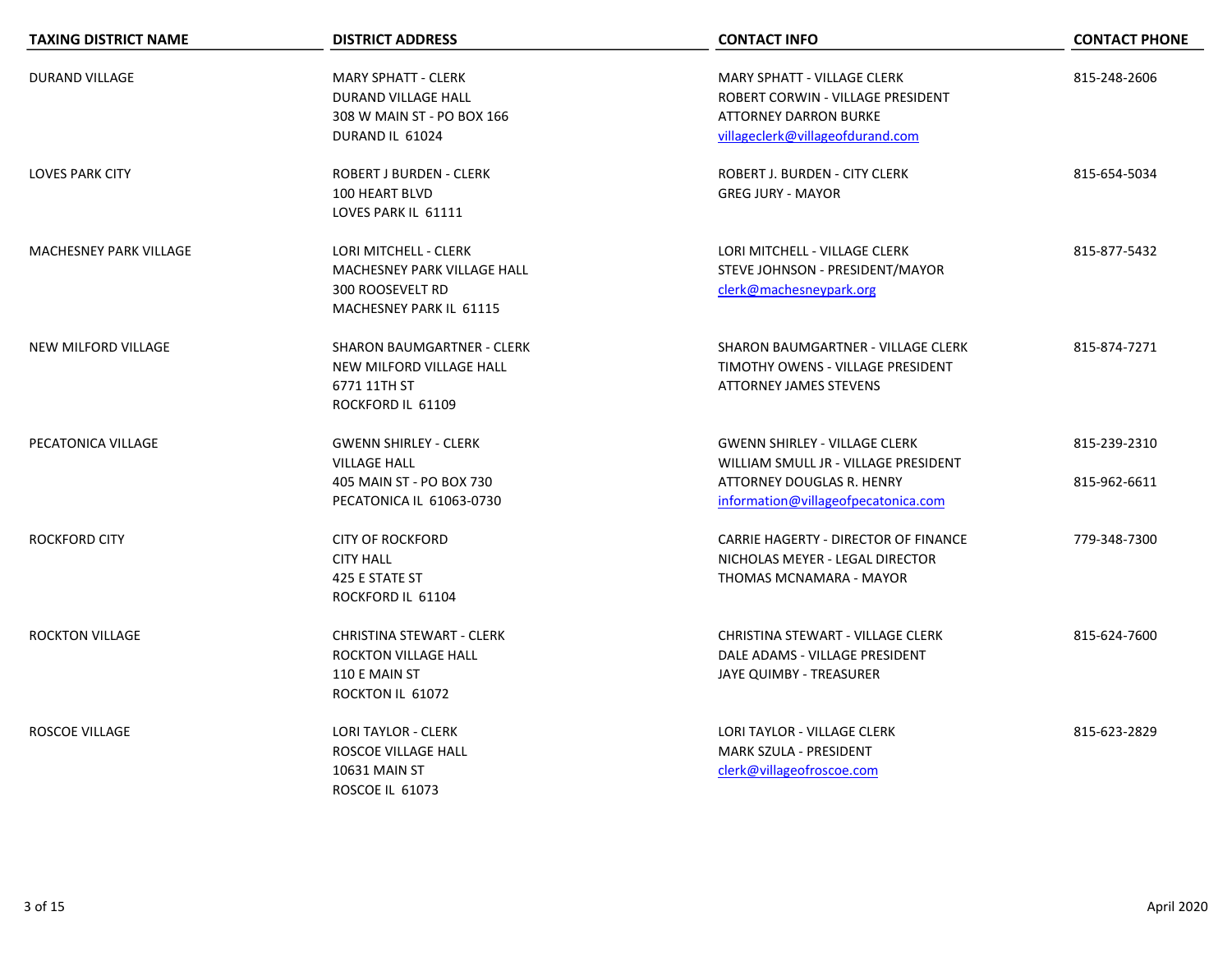| <b>TAXING DISTRICT NAME</b>   | <b>DISTRICT ADDRESS</b>                                                                                           | <b>CONTACT INFO</b>                                                                                                                              | <b>CONTACT PHONE</b>         |
|-------------------------------|-------------------------------------------------------------------------------------------------------------------|--------------------------------------------------------------------------------------------------------------------------------------------------|------------------------------|
| <b>DURAND VILLAGE</b>         | <b>MARY SPHATT - CLERK</b><br>DURAND VILLAGE HALL<br>308 W MAIN ST - PO BOX 166<br>DURAND IL 61024                | <b>MARY SPHATT - VILLAGE CLERK</b><br>ROBERT CORWIN - VILLAGE PRESIDENT<br><b>ATTORNEY DARRON BURKE</b><br>villageclerk@villageofdurand.com      | 815-248-2606                 |
| <b>LOVES PARK CITY</b>        | <b>ROBERT J BURDEN - CLERK</b><br>100 HEART BLVD<br>LOVES PARK IL 61111                                           | ROBERT J. BURDEN - CITY CLERK<br><b>GREG JURY - MAYOR</b>                                                                                        | 815-654-5034                 |
| <b>MACHESNEY PARK VILLAGE</b> | LORI MITCHELL - CLERK<br><b>MACHESNEY PARK VILLAGE HALL</b><br><b>300 ROOSEVELT RD</b><br>MACHESNEY PARK IL 61115 | LORI MITCHELL - VILLAGE CLERK<br>STEVE JOHNSON - PRESIDENT/MAYOR<br>clerk@machesneypark.org                                                      | 815-877-5432                 |
| NEW MILFORD VILLAGE           | <b>SHARON BAUMGARTNER - CLERK</b><br>NEW MILFORD VILLAGE HALL<br>6771 11TH ST<br>ROCKFORD IL 61109                | SHARON BAUMGARTNER - VILLAGE CLERK<br>TIMOTHY OWENS - VILLAGE PRESIDENT<br><b>ATTORNEY JAMES STEVENS</b>                                         | 815-874-7271                 |
| PECATONICA VILLAGE            | <b>GWENN SHIRLEY - CLERK</b><br><b>VILLAGE HALL</b><br>405 MAIN ST - PO BOX 730<br>PECATONICA IL 61063-0730       | <b>GWENN SHIRLEY - VILLAGE CLERK</b><br>WILLIAM SMULL JR - VILLAGE PRESIDENT<br>ATTORNEY DOUGLAS R. HENRY<br>information@villageofpecatonica.com | 815-239-2310<br>815-962-6611 |
| <b>ROCKFORD CITY</b>          | <b>CITY OF ROCKFORD</b><br><b>CITY HALL</b><br>425 E STATE ST<br>ROCKFORD IL 61104                                | CARRIE HAGERTY - DIRECTOR OF FINANCE<br>NICHOLAS MEYER - LEGAL DIRECTOR<br>THOMAS MCNAMARA - MAYOR                                               | 779-348-7300                 |
| <b>ROCKTON VILLAGE</b>        | <b>CHRISTINA STEWART - CLERK</b><br><b>ROCKTON VILLAGE HALL</b><br>110 E MAIN ST<br>ROCKTON IL 61072              | <b>CHRISTINA STEWART - VILLAGE CLERK</b><br>DALE ADAMS - VILLAGE PRESIDENT<br>JAYE QUIMBY - TREASURER                                            | 815-624-7600                 |
| <b>ROSCOE VILLAGE</b>         | <b>LORI TAYLOR - CLERK</b><br>ROSCOE VILLAGE HALL<br>10631 MAIN ST<br>ROSCOE IL 61073                             | LORI TAYLOR - VILLAGE CLERK<br>MARK SZULA - PRESIDENT<br>clerk@villageofroscoe.com                                                               | 815-623-2829                 |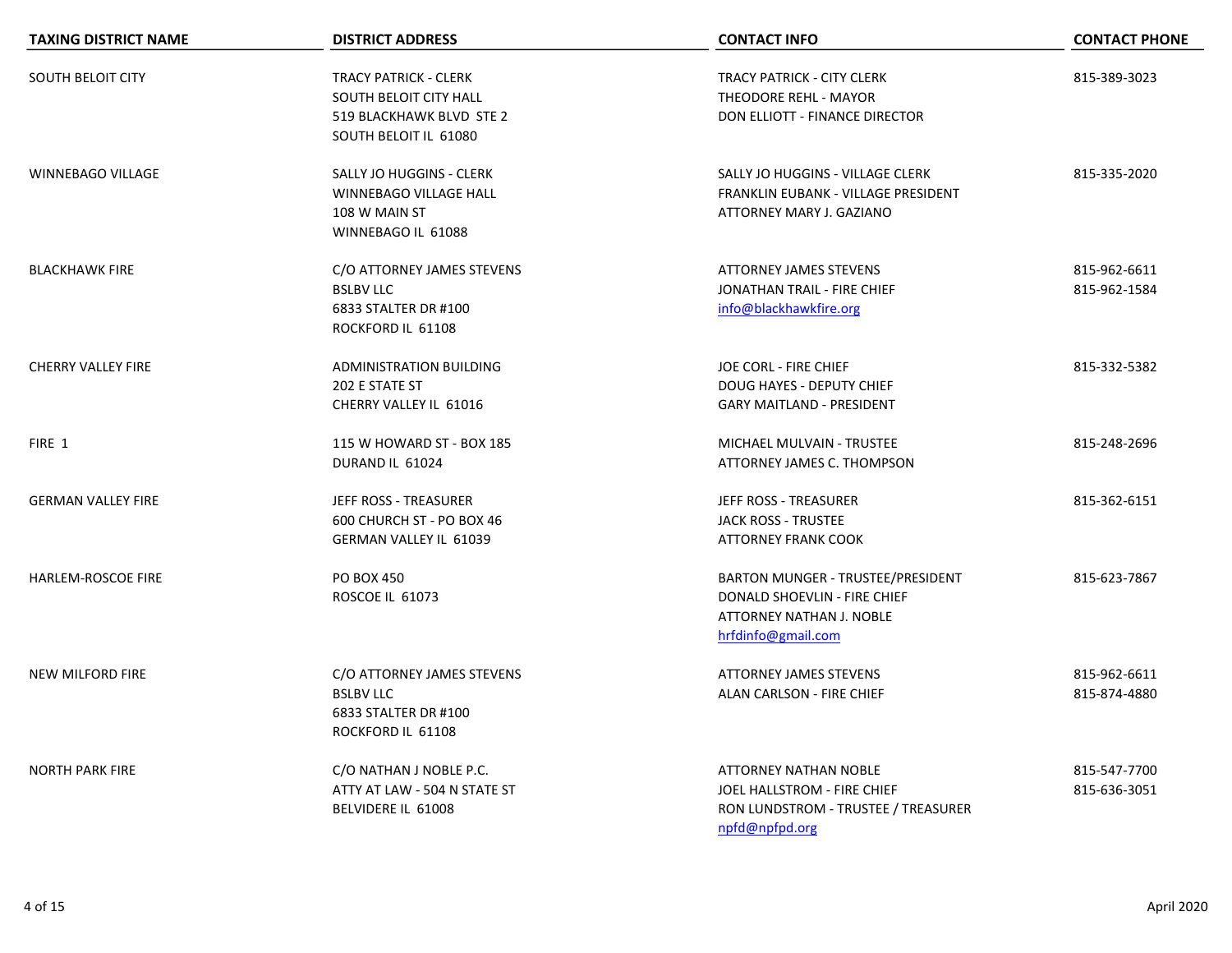| <b>TAXING DISTRICT NAME</b> | <b>DISTRICT ADDRESS</b>                                                                                     | <b>CONTACT INFO</b>                                                                                                         | <b>CONTACT PHONE</b>         |
|-----------------------------|-------------------------------------------------------------------------------------------------------------|-----------------------------------------------------------------------------------------------------------------------------|------------------------------|
| <b>SOUTH BELOIT CITY</b>    | <b>TRACY PATRICK - CLERK</b><br>SOUTH BELOIT CITY HALL<br>519 BLACKHAWK BLVD STE 2<br>SOUTH BELOIT IL 61080 | <b>TRACY PATRICK - CITY CLERK</b><br>THEODORE REHL - MAYOR<br>DON ELLIOTT - FINANCE DIRECTOR                                | 815-389-3023                 |
| <b>WINNEBAGO VILLAGE</b>    | SALLY JO HUGGINS - CLERK<br>WINNEBAGO VILLAGE HALL<br>108 W MAIN ST<br>WINNEBAGO IL 61088                   | SALLY JO HUGGINS - VILLAGE CLERK<br>FRANKLIN EUBANK - VILLAGE PRESIDENT<br>ATTORNEY MARY J. GAZIANO                         | 815-335-2020                 |
| <b>BLACKHAWK FIRE</b>       | C/O ATTORNEY JAMES STEVENS<br><b>BSLBV LLC</b><br>6833 STALTER DR #100<br>ROCKFORD IL 61108                 | <b>ATTORNEY JAMES STEVENS</b><br>JONATHAN TRAIL - FIRE CHIEF<br>info@blackhawkfire.org                                      | 815-962-6611<br>815-962-1584 |
| <b>CHERRY VALLEY FIRE</b>   | ADMINISTRATION BUILDING<br>202 E STATE ST<br>CHERRY VALLEY IL 61016                                         | JOE CORL - FIRE CHIEF<br>DOUG HAYES - DEPUTY CHIEF<br><b>GARY MAITLAND - PRESIDENT</b>                                      | 815-332-5382                 |
| FIRE 1                      | 115 W HOWARD ST - BOX 185<br>DURAND IL 61024                                                                | MICHAEL MULVAIN - TRUSTEE<br>ATTORNEY JAMES C. THOMPSON                                                                     | 815-248-2696                 |
| <b>GERMAN VALLEY FIRE</b>   | JEFF ROSS - TREASURER<br>600 CHURCH ST - PO BOX 46<br><b>GERMAN VALLEY IL 61039</b>                         | JEFF ROSS - TREASURER<br><b>JACK ROSS - TRUSTEE</b><br><b>ATTORNEY FRANK COOK</b>                                           | 815-362-6151                 |
| HARLEM-ROSCOE FIRE          | <b>PO BOX 450</b><br>ROSCOE IL 61073                                                                        | BARTON MUNGER - TRUSTEE/PRESIDENT<br>DONALD SHOEVLIN - FIRE CHIEF<br>ATTORNEY NATHAN J. NOBLE<br>hrfdinfo@gmail.com         | 815-623-7867                 |
| <b>NEW MILFORD FIRE</b>     | C/O ATTORNEY JAMES STEVENS<br><b>BSLBV LLC</b><br>6833 STALTER DR #100<br>ROCKFORD IL 61108                 | <b>ATTORNEY JAMES STEVENS</b><br>ALAN CARLSON - FIRE CHIEF                                                                  | 815-962-6611<br>815-874-4880 |
| <b>NORTH PARK FIRE</b>      | C/O NATHAN J NOBLE P.C.<br>ATTY AT LAW - 504 N STATE ST<br>BELVIDERE IL 61008                               | <b>ATTORNEY NATHAN NOBLE</b><br><b>JOEL HALLSTROM - FIRE CHIEF</b><br>RON LUNDSTROM - TRUSTEE / TREASURER<br>npfd@npfpd.org | 815-547-7700<br>815-636-3051 |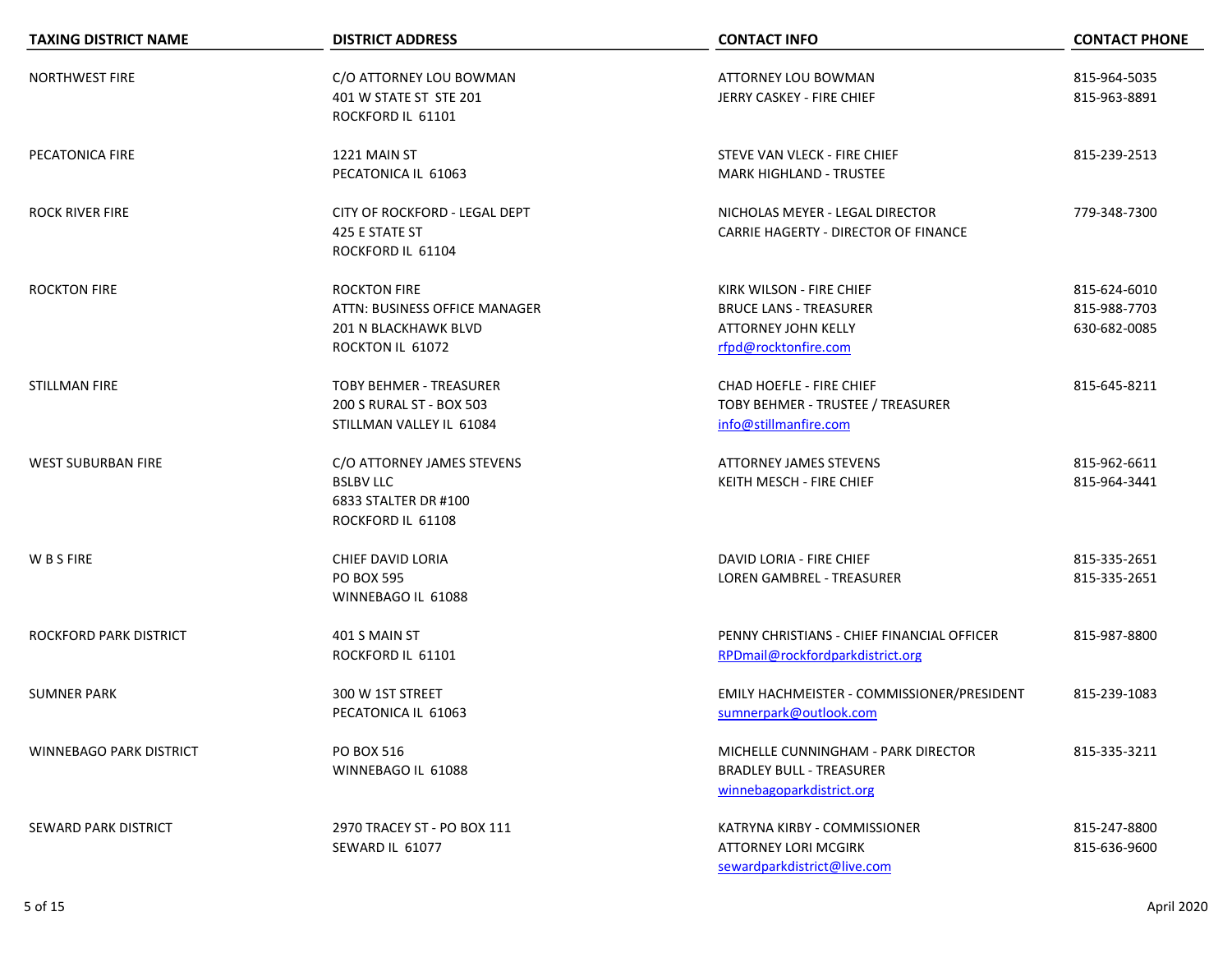| <b>TAXING DISTRICT NAME</b>    | <b>DISTRICT ADDRESS</b>                                                                          | <b>CONTACT INFO</b>                                                                                             | <b>CONTACT PHONE</b>                         |
|--------------------------------|--------------------------------------------------------------------------------------------------|-----------------------------------------------------------------------------------------------------------------|----------------------------------------------|
| <b>NORTHWEST FIRE</b>          | C/O ATTORNEY LOU BOWMAN<br>401 W STATE ST STE 201<br>ROCKFORD IL 61101                           | <b>ATTORNEY LOU BOWMAN</b><br>JERRY CASKEY - FIRE CHIEF                                                         | 815-964-5035<br>815-963-8891                 |
| PECATONICA FIRE                | 1221 MAIN ST<br>PECATONICA IL 61063                                                              | STEVE VAN VLECK - FIRE CHIEF<br><b>MARK HIGHLAND - TRUSTEE</b>                                                  | 815-239-2513                                 |
| <b>ROCK RIVER FIRE</b>         | CITY OF ROCKFORD - LEGAL DEPT<br>425 E STATE ST<br>ROCKFORD IL 61104                             | NICHOLAS MEYER - LEGAL DIRECTOR<br>CARRIE HAGERTY - DIRECTOR OF FINANCE                                         | 779-348-7300                                 |
| <b>ROCKTON FIRE</b>            | <b>ROCKTON FIRE</b><br>ATTN: BUSINESS OFFICE MANAGER<br>201 N BLACKHAWK BLVD<br>ROCKTON IL 61072 | KIRK WILSON - FIRE CHIEF<br><b>BRUCE LANS - TREASURER</b><br><b>ATTORNEY JOHN KELLY</b><br>rfpd@rocktonfire.com | 815-624-6010<br>815-988-7703<br>630-682-0085 |
| STILLMAN FIRE                  | <b>TOBY BEHMER - TREASURER</b><br>200 S RURAL ST - BOX 503<br>STILLMAN VALLEY IL 61084           | CHAD HOEFLE - FIRE CHIEF<br>TOBY BEHMER - TRUSTEE / TREASURER<br>info@stillmanfire.com                          | 815-645-8211                                 |
| <b>WEST SUBURBAN FIRE</b>      | C/O ATTORNEY JAMES STEVENS<br><b>BSLBV LLC</b><br>6833 STALTER DR #100<br>ROCKFORD IL 61108      | <b>ATTORNEY JAMES STEVENS</b><br>KEITH MESCH - FIRE CHIEF                                                       | 815-962-6611<br>815-964-3441                 |
| W B S FIRE                     | CHIEF DAVID LORIA<br><b>PO BOX 595</b><br>WINNEBAGO IL 61088                                     | DAVID LORIA - FIRE CHIEF<br><b>LOREN GAMBREL - TREASURER</b>                                                    | 815-335-2651<br>815-335-2651                 |
| ROCKFORD PARK DISTRICT         | 401 S MAIN ST<br>ROCKFORD IL 61101                                                               | PENNY CHRISTIANS - CHIEF FINANCIAL OFFICER<br>RPDmail@rockfordparkdistrict.org                                  | 815-987-8800                                 |
| <b>SUMNER PARK</b>             | 300 W 1ST STREET<br>PECATONICA IL 61063                                                          | EMILY HACHMEISTER - COMMISSIONER/PRESIDENT<br>sumnerpark@outlook.com                                            | 815-239-1083                                 |
| <b>WINNEBAGO PARK DISTRICT</b> | <b>PO BOX 516</b><br>WINNEBAGO IL 61088                                                          | MICHELLE CUNNINGHAM - PARK DIRECTOR<br><b>BRADLEY BULL - TREASURER</b><br>winnebagoparkdistrict.org             | 815-335-3211                                 |
| SEWARD PARK DISTRICT           | 2970 TRACEY ST - PO BOX 111<br>SEWARD IL 61077                                                   | KATRYNA KIRBY - COMMISSIONER<br><b>ATTORNEY LORI MCGIRK</b><br>sewardparkdistrict@live.com                      | 815-247-8800<br>815-636-9600                 |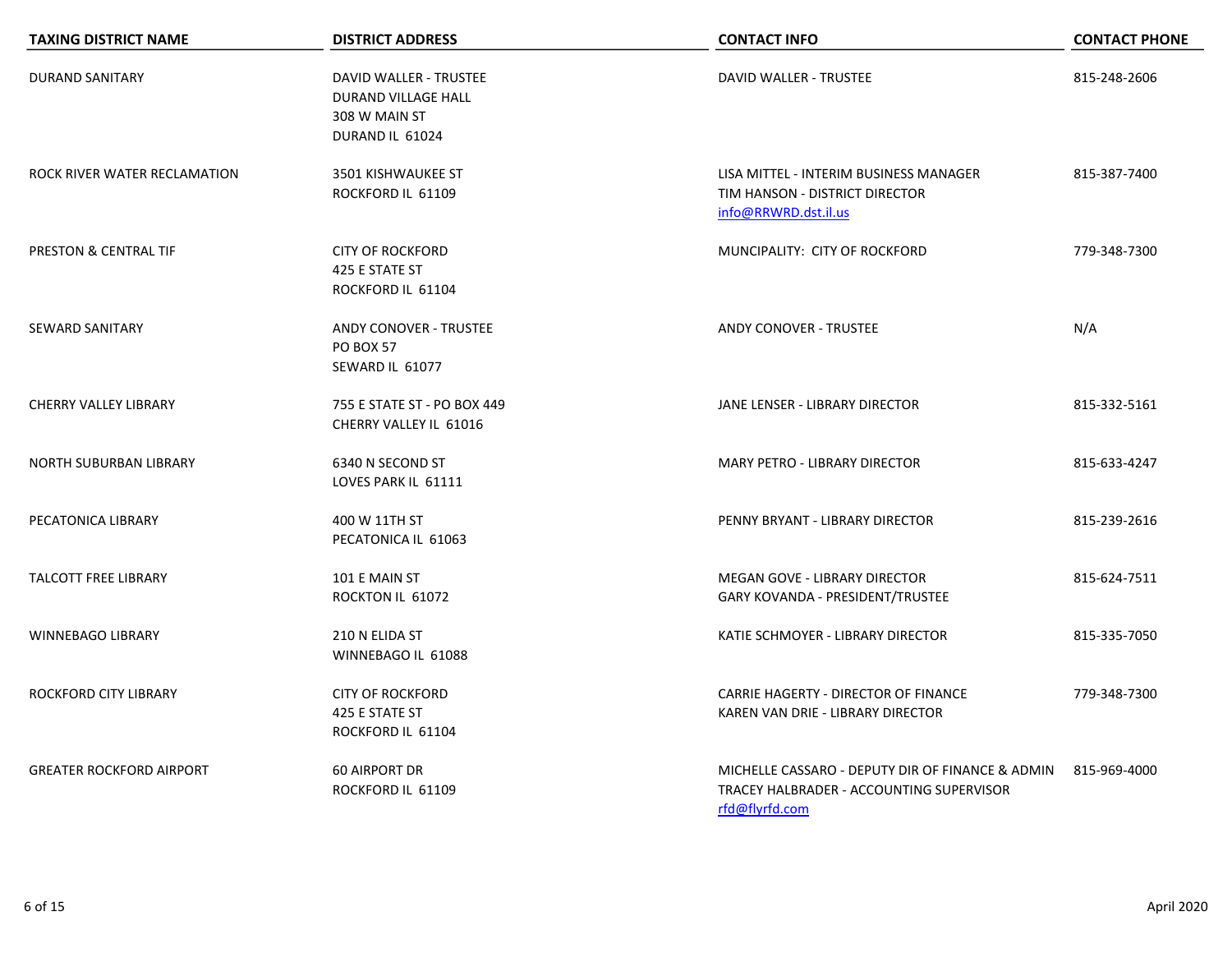| <b>TAXING DISTRICT NAME</b>      | <b>DISTRICT ADDRESS</b>                                                                  | <b>CONTACT INFO</b>                                                                                                         | <b>CONTACT PHONE</b> |
|----------------------------------|------------------------------------------------------------------------------------------|-----------------------------------------------------------------------------------------------------------------------------|----------------------|
| <b>DURAND SANITARY</b>           | DAVID WALLER - TRUSTEE<br><b>DURAND VILLAGE HALL</b><br>308 W MAIN ST<br>DURAND IL 61024 | <b>DAVID WALLER - TRUSTEE</b>                                                                                               | 815-248-2606         |
| ROCK RIVER WATER RECLAMATION     | 3501 KISHWAUKEE ST<br>ROCKFORD IL 61109                                                  | LISA MITTEL - INTERIM BUSINESS MANAGER<br>TIM HANSON - DISTRICT DIRECTOR<br>info@RRWRD.dst.il.us                            | 815-387-7400         |
| <b>PRESTON &amp; CENTRAL TIF</b> | <b>CITY OF ROCKFORD</b><br>425 E STATE ST<br>ROCKFORD IL 61104                           | MUNCIPALITY: CITY OF ROCKFORD                                                                                               | 779-348-7300         |
| <b>SEWARD SANITARY</b>           | <b>ANDY CONOVER - TRUSTEE</b><br><b>PO BOX 57</b><br>SEWARD IL 61077                     | <b>ANDY CONOVER - TRUSTEE</b>                                                                                               | N/A                  |
| <b>CHERRY VALLEY LIBRARY</b>     | 755 E STATE ST - PO BOX 449<br>CHERRY VALLEY IL 61016                                    | JANE LENSER - LIBRARY DIRECTOR                                                                                              | 815-332-5161         |
| <b>NORTH SUBURBAN LIBRARY</b>    | 6340 N SECOND ST<br>LOVES PARK IL 61111                                                  | MARY PETRO - LIBRARY DIRECTOR                                                                                               | 815-633-4247         |
| PECATONICA LIBRARY               | 400 W 11TH ST<br>PECATONICA IL 61063                                                     | PENNY BRYANT - LIBRARY DIRECTOR                                                                                             | 815-239-2616         |
| <b>TALCOTT FREE LIBRARY</b>      | 101 E MAIN ST<br>ROCKTON IL 61072                                                        | MEGAN GOVE - LIBRARY DIRECTOR<br>GARY KOVANDA - PRESIDENT/TRUSTEE                                                           | 815-624-7511         |
| <b>WINNEBAGO LIBRARY</b>         | 210 N ELIDA ST<br>WINNEBAGO IL 61088                                                     | KATIE SCHMOYER - LIBRARY DIRECTOR                                                                                           | 815-335-7050         |
| ROCKFORD CITY LIBRARY            | <b>CITY OF ROCKFORD</b><br>425 E STATE ST<br>ROCKFORD IL 61104                           | CARRIE HAGERTY - DIRECTOR OF FINANCE<br>KAREN VAN DRIE - LIBRARY DIRECTOR                                                   | 779-348-7300         |
| <b>GREATER ROCKFORD AIRPORT</b>  | <b>60 AIRPORT DR</b><br>ROCKFORD IL 61109                                                | MICHELLE CASSARO - DEPUTY DIR OF FINANCE & ADMIN 815-969-4000<br>TRACEY HALBRADER - ACCOUNTING SUPERVISOR<br>rfd@flyrfd.com |                      |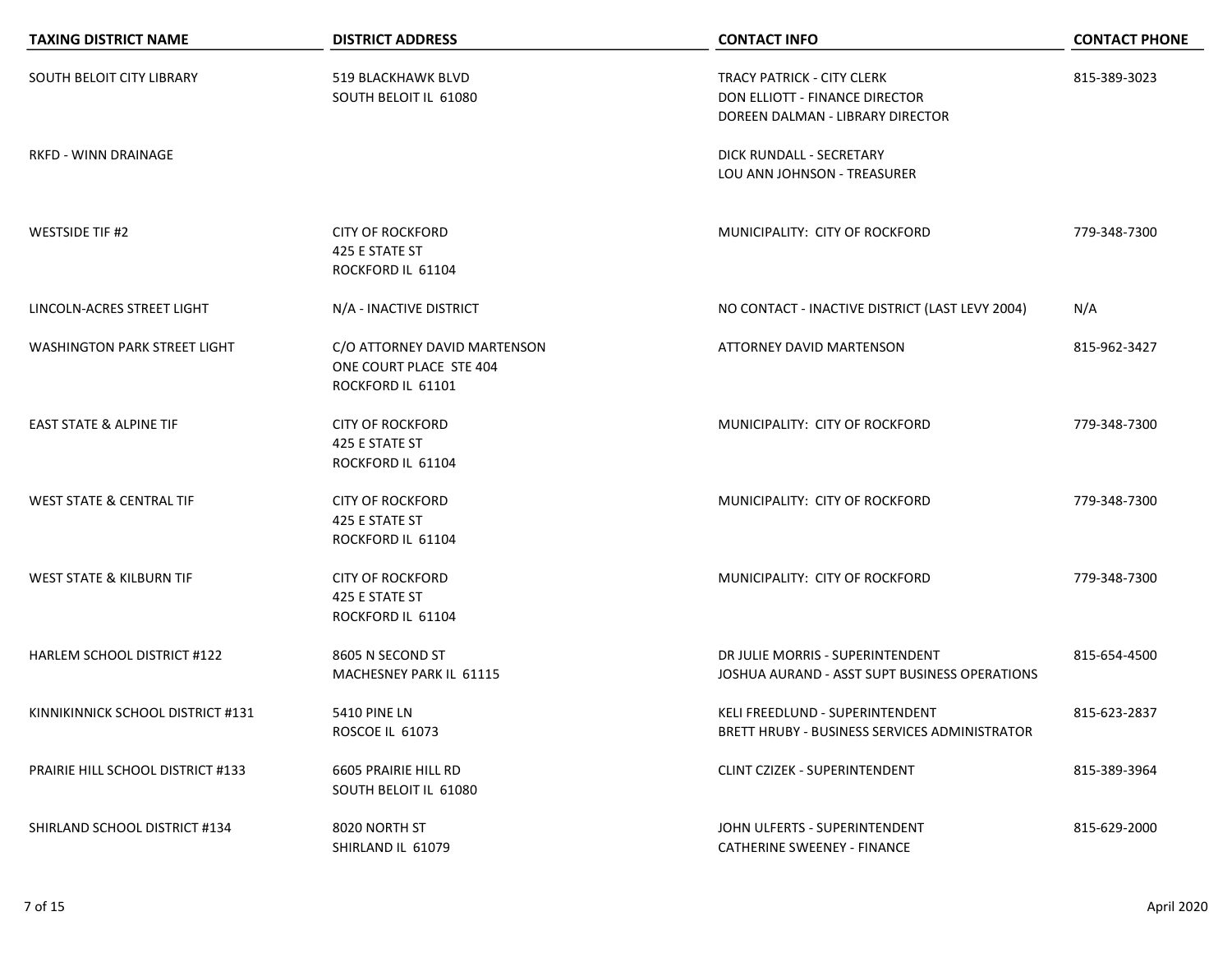| <b>TAXING DISTRICT NAME</b>              | <b>DISTRICT ADDRESS</b>                                                      | <b>CONTACT INFO</b>                                                                                     | <b>CONTACT PHONE</b> |
|------------------------------------------|------------------------------------------------------------------------------|---------------------------------------------------------------------------------------------------------|----------------------|
| SOUTH BELOIT CITY LIBRARY                | 519 BLACKHAWK BLVD<br>SOUTH BELOIT IL 61080                                  | <b>TRACY PATRICK - CITY CLERK</b><br>DON ELLIOTT - FINANCE DIRECTOR<br>DOREEN DALMAN - LIBRARY DIRECTOR | 815-389-3023         |
| RKFD - WINN DRAINAGE                     |                                                                              | DICK RUNDALL - SECRETARY<br>LOU ANN JOHNSON - TREASURER                                                 |                      |
| <b>WESTSIDE TIF #2</b>                   | <b>CITY OF ROCKFORD</b><br>425 E STATE ST<br>ROCKFORD IL 61104               | MUNICIPALITY: CITY OF ROCKFORD                                                                          | 779-348-7300         |
| LINCOLN-ACRES STREET LIGHT               | N/A - INACTIVE DISTRICT                                                      | NO CONTACT - INACTIVE DISTRICT (LAST LEVY 2004)                                                         | N/A                  |
| <b>WASHINGTON PARK STREET LIGHT</b>      | C/O ATTORNEY DAVID MARTENSON<br>ONE COURT PLACE STE 404<br>ROCKFORD IL 61101 | <b>ATTORNEY DAVID MARTENSON</b>                                                                         | 815-962-3427         |
| <b>EAST STATE &amp; ALPINE TIF</b>       | <b>CITY OF ROCKFORD</b><br>425 E STATE ST<br>ROCKFORD IL 61104               | MUNICIPALITY: CITY OF ROCKFORD                                                                          | 779-348-7300         |
| <b>WEST STATE &amp; CENTRAL TIF</b>      | <b>CITY OF ROCKFORD</b><br>425 E STATE ST<br>ROCKFORD IL 61104               | MUNICIPALITY: CITY OF ROCKFORD                                                                          | 779-348-7300         |
| <b>WEST STATE &amp; KILBURN TIF</b>      | <b>CITY OF ROCKFORD</b><br>425 E STATE ST<br>ROCKFORD IL 61104               | MUNICIPALITY: CITY OF ROCKFORD                                                                          | 779-348-7300         |
| <b>HARLEM SCHOOL DISTRICT #122</b>       | 8605 N SECOND ST<br>MACHESNEY PARK IL 61115                                  | DR JULIE MORRIS - SUPERINTENDENT<br>JOSHUA AURAND - ASST SUPT BUSINESS OPERATIONS                       | 815-654-4500         |
| KINNIKINNICK SCHOOL DISTRICT #131        | <b>5410 PINE LN</b><br>ROSCOE IL 61073                                       | KELI FREEDLUND - SUPERINTENDENT<br>BRETT HRUBY - BUSINESS SERVICES ADMINISTRATOR                        | 815-623-2837         |
| <b>PRAIRIE HILL SCHOOL DISTRICT #133</b> | 6605 PRAIRIE HILL RD<br>SOUTH BELOIT IL 61080                                | CLINT CZIZEK - SUPERINTENDENT                                                                           | 815-389-3964         |
| SHIRLAND SCHOOL DISTRICT #134            | 8020 NORTH ST<br>SHIRLAND IL 61079                                           | JOHN ULFERTS - SUPERINTENDENT<br><b>CATHERINE SWEENEY - FINANCE</b>                                     | 815-629-2000         |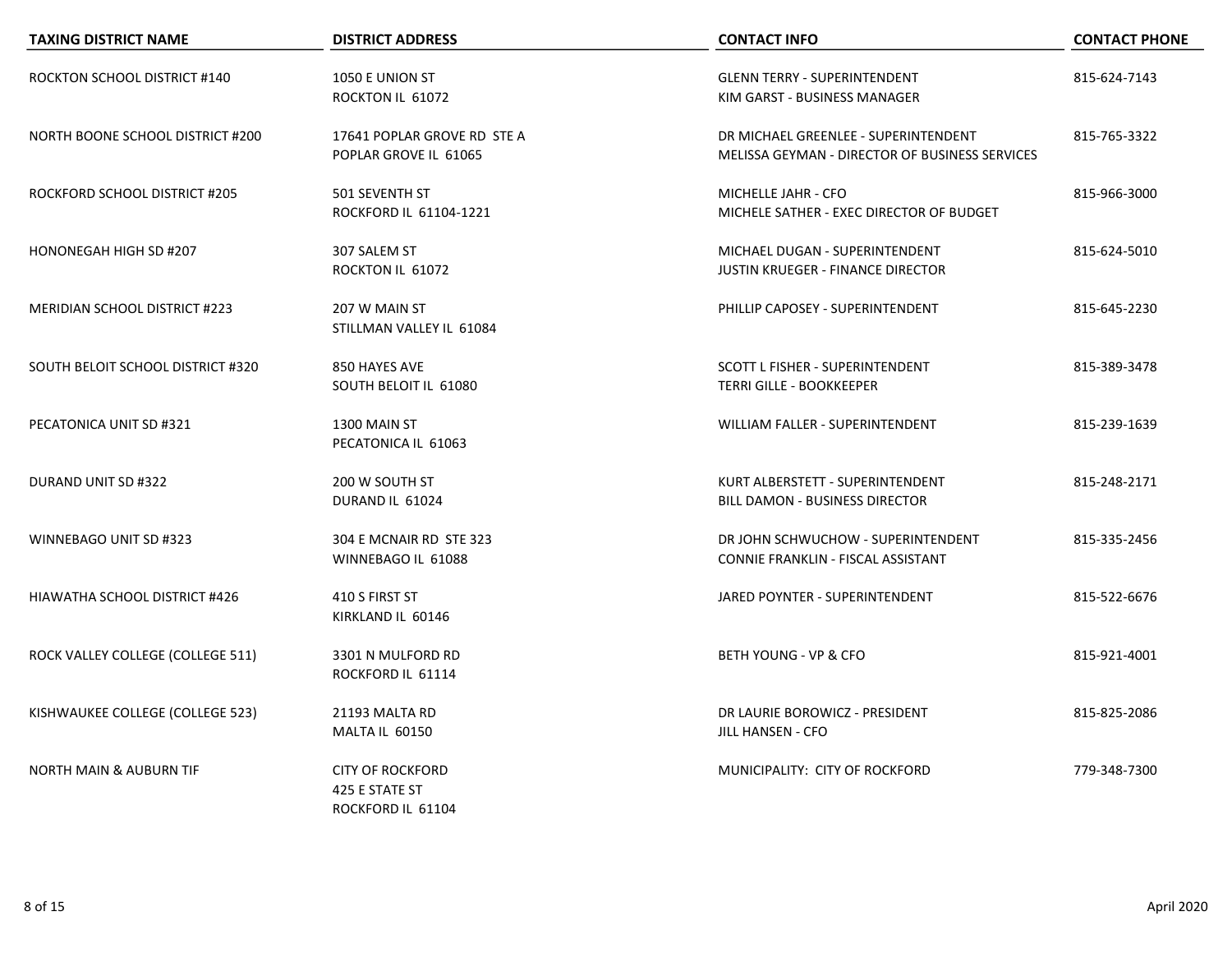| <b>TAXING DISTRICT NAME</b>             | <b>DISTRICT ADDRESS</b>                                        | <b>CONTACT INFO</b>                                                                    | <b>CONTACT PHONE</b> |
|-----------------------------------------|----------------------------------------------------------------|----------------------------------------------------------------------------------------|----------------------|
| ROCKTON SCHOOL DISTRICT #140            | 1050 E UNION ST<br>ROCKTON IL 61072                            | <b>GLENN TERRY - SUPERINTENDENT</b><br>KIM GARST - BUSINESS MANAGER                    | 815-624-7143         |
| <b>NORTH BOONE SCHOOL DISTRICT #200</b> | 17641 POPLAR GROVE RD STE A<br>POPLAR GROVE IL 61065           | DR MICHAEL GREENLEE - SUPERINTENDENT<br>MELISSA GEYMAN - DIRECTOR OF BUSINESS SERVICES | 815-765-3322         |
| ROCKFORD SCHOOL DISTRICT #205           | 501 SEVENTH ST<br>ROCKFORD IL 61104-1221                       | MICHELLE JAHR - CFO<br>MICHELE SATHER - EXEC DIRECTOR OF BUDGET                        | 815-966-3000         |
| HONONEGAH HIGH SD #207                  | 307 SALEM ST<br>ROCKTON IL 61072                               | MICHAEL DUGAN - SUPERINTENDENT<br><b>JUSTIN KRUEGER - FINANCE DIRECTOR</b>             | 815-624-5010         |
| <b>MERIDIAN SCHOOL DISTRICT #223</b>    | 207 W MAIN ST<br>STILLMAN VALLEY IL 61084                      | PHILLIP CAPOSEY - SUPERINTENDENT                                                       | 815-645-2230         |
| SOUTH BELOIT SCHOOL DISTRICT #320       | 850 HAYES AVE<br>SOUTH BELOIT IL 61080                         | <b>SCOTT L FISHER - SUPERINTENDENT</b><br><b>TERRI GILLE - BOOKKEEPER</b>              | 815-389-3478         |
| PECATONICA UNIT SD #321                 | 1300 MAIN ST<br>PECATONICA IL 61063                            | <b>WILLIAM FALLER - SUPERINTENDENT</b>                                                 | 815-239-1639         |
| DURAND UNIT SD #322                     | 200 W SOUTH ST<br>DURAND IL 61024                              | KURT ALBERSTETT - SUPERINTENDENT<br>BILL DAMON - BUSINESS DIRECTOR                     | 815-248-2171         |
| WINNEBAGO UNIT SD #323                  | 304 E MCNAIR RD STE 323<br>WINNEBAGO IL 61088                  | DR JOHN SCHWUCHOW - SUPERINTENDENT<br>CONNIE FRANKLIN - FISCAL ASSISTANT               | 815-335-2456         |
| HIAWATHA SCHOOL DISTRICT #426           | 410 S FIRST ST<br>KIRKLAND IL 60146                            | JARED POYNTER - SUPERINTENDENT                                                         | 815-522-6676         |
| ROCK VALLEY COLLEGE (COLLEGE 511)       | 3301 N MULFORD RD<br>ROCKFORD IL 61114                         | BETH YOUNG - VP & CFO                                                                  | 815-921-4001         |
| KISHWAUKEE COLLEGE (COLLEGE 523)        | 21193 MALTA RD<br>MALTA IL 60150                               | DR LAURIE BOROWICZ - PRESIDENT<br><b>JILL HANSEN - CFO</b>                             | 815-825-2086         |
| <b>NORTH MAIN &amp; AUBURN TIF</b>      | <b>CITY OF ROCKFORD</b><br>425 E STATE ST<br>ROCKFORD IL 61104 | MUNICIPALITY: CITY OF ROCKFORD                                                         | 779-348-7300         |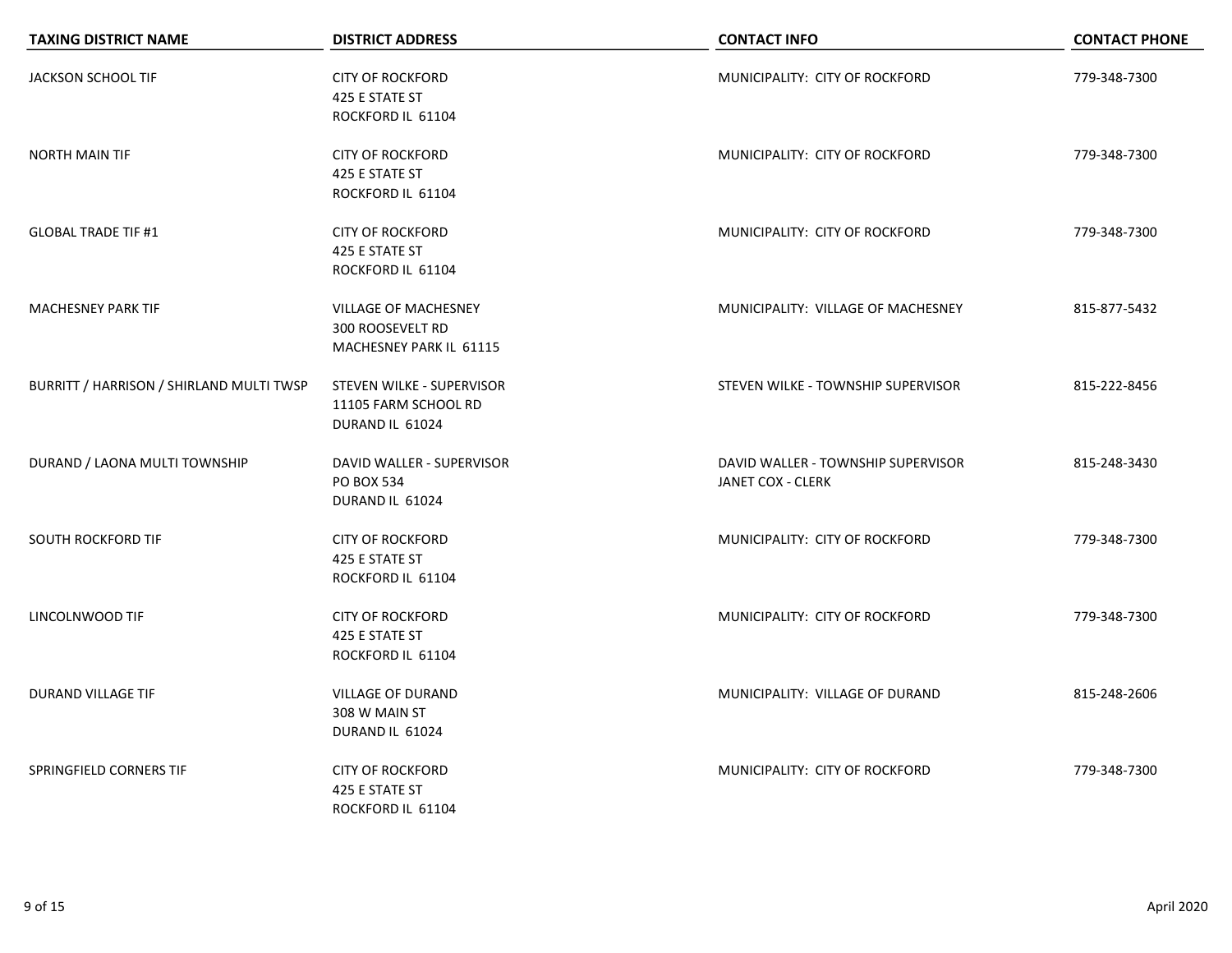| <b>TAXING DISTRICT NAME</b>              | <b>DISTRICT ADDRESS</b>                                                           | <b>CONTACT INFO</b>                                     | <b>CONTACT PHONE</b> |
|------------------------------------------|-----------------------------------------------------------------------------------|---------------------------------------------------------|----------------------|
| JACKSON SCHOOL TIF                       | <b>CITY OF ROCKFORD</b><br>425 E STATE ST<br>ROCKFORD IL 61104                    | MUNICIPALITY: CITY OF ROCKFORD                          | 779-348-7300         |
| <b>NORTH MAIN TIF</b>                    | <b>CITY OF ROCKFORD</b><br>425 E STATE ST<br>ROCKFORD IL 61104                    | MUNICIPALITY: CITY OF ROCKFORD                          | 779-348-7300         |
| <b>GLOBAL TRADE TIF #1</b>               | <b>CITY OF ROCKFORD</b><br>425 E STATE ST<br>ROCKFORD IL 61104                    | MUNICIPALITY: CITY OF ROCKFORD                          | 779-348-7300         |
| <b>MACHESNEY PARK TIF</b>                | <b>VILLAGE OF MACHESNEY</b><br><b>300 ROOSEVELT RD</b><br>MACHESNEY PARK IL 61115 | MUNICIPALITY: VILLAGE OF MACHESNEY                      | 815-877-5432         |
| BURRITT / HARRISON / SHIRLAND MULTI TWSP | STEVEN WILKE - SUPERVISOR<br>11105 FARM SCHOOL RD<br>DURAND IL 61024              | STEVEN WILKE - TOWNSHIP SUPERVISOR                      | 815-222-8456         |
| DURAND / LAONA MULTI TOWNSHIP            | DAVID WALLER - SUPERVISOR<br>PO BOX 534<br>DURAND IL 61024                        | DAVID WALLER - TOWNSHIP SUPERVISOR<br>JANET COX - CLERK | 815-248-3430         |
| SOUTH ROCKFORD TIF                       | <b>CITY OF ROCKFORD</b><br>425 E STATE ST<br>ROCKFORD IL 61104                    | MUNICIPALITY: CITY OF ROCKFORD                          | 779-348-7300         |
| LINCOLNWOOD TIF                          | <b>CITY OF ROCKFORD</b><br>425 E STATE ST<br>ROCKFORD IL 61104                    | MUNICIPALITY: CITY OF ROCKFORD                          | 779-348-7300         |
| DURAND VILLAGE TIF                       | <b>VILLAGE OF DURAND</b><br>308 W MAIN ST<br>DURAND IL 61024                      | MUNICIPALITY: VILLAGE OF DURAND                         | 815-248-2606         |
| SPRINGFIELD CORNERS TIF                  | <b>CITY OF ROCKFORD</b><br>425 E STATE ST<br>ROCKFORD IL 61104                    | MUNICIPALITY: CITY OF ROCKFORD                          | 779-348-7300         |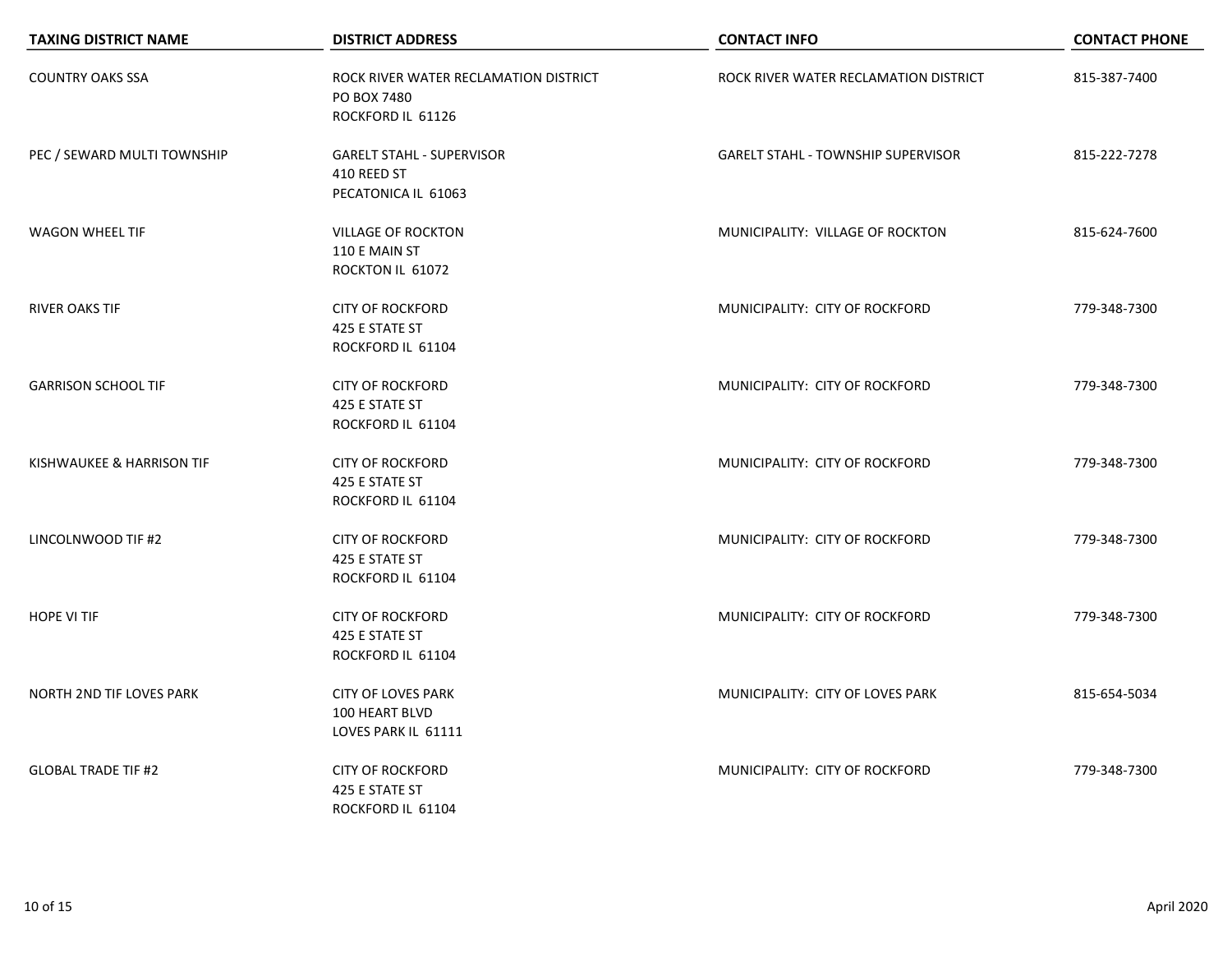| <b>TAXING DISTRICT NAME</b>     | <b>DISTRICT ADDRESS</b>                                                   | <b>CONTACT INFO</b>                       | <b>CONTACT PHONE</b> |
|---------------------------------|---------------------------------------------------------------------------|-------------------------------------------|----------------------|
| <b>COUNTRY OAKS SSA</b>         | ROCK RIVER WATER RECLAMATION DISTRICT<br>PO BOX 7480<br>ROCKFORD IL 61126 | ROCK RIVER WATER RECLAMATION DISTRICT     | 815-387-7400         |
| PEC / SEWARD MULTI TOWNSHIP     | <b>GARELT STAHL - SUPERVISOR</b><br>410 REED ST<br>PECATONICA IL 61063    | <b>GARELT STAHL - TOWNSHIP SUPERVISOR</b> | 815-222-7278         |
| <b>WAGON WHEEL TIF</b>          | <b>VILLAGE OF ROCKTON</b><br>110 E MAIN ST<br>ROCKTON IL 61072            | MUNICIPALITY: VILLAGE OF ROCKTON          | 815-624-7600         |
| <b>RIVER OAKS TIF</b>           | <b>CITY OF ROCKFORD</b><br>425 E STATE ST<br>ROCKFORD IL 61104            | MUNICIPALITY: CITY OF ROCKFORD            | 779-348-7300         |
| <b>GARRISON SCHOOL TIF</b>      | <b>CITY OF ROCKFORD</b><br>425 E STATE ST<br>ROCKFORD IL 61104            | MUNICIPALITY: CITY OF ROCKFORD            | 779-348-7300         |
| KISHWAUKEE & HARRISON TIF       | <b>CITY OF ROCKFORD</b><br>425 E STATE ST<br>ROCKFORD IL 61104            | MUNICIPALITY: CITY OF ROCKFORD            | 779-348-7300         |
| LINCOLNWOOD TIF #2              | <b>CITY OF ROCKFORD</b><br>425 E STATE ST<br>ROCKFORD IL 61104            | MUNICIPALITY: CITY OF ROCKFORD            | 779-348-7300         |
| <b>HOPE VI TIF</b>              | <b>CITY OF ROCKFORD</b><br>425 E STATE ST<br>ROCKFORD IL 61104            | MUNICIPALITY: CITY OF ROCKFORD            | 779-348-7300         |
| <b>NORTH 2ND TIF LOVES PARK</b> | <b>CITY OF LOVES PARK</b><br>100 HEART BLVD<br>LOVES PARK IL 61111        | MUNICIPALITY: CITY OF LOVES PARK          | 815-654-5034         |
| <b>GLOBAL TRADE TIF #2</b>      | <b>CITY OF ROCKFORD</b><br>425 E STATE ST<br>ROCKFORD IL 61104            | MUNICIPALITY: CITY OF ROCKFORD            | 779-348-7300         |

 $\overline{\phantom{0}}$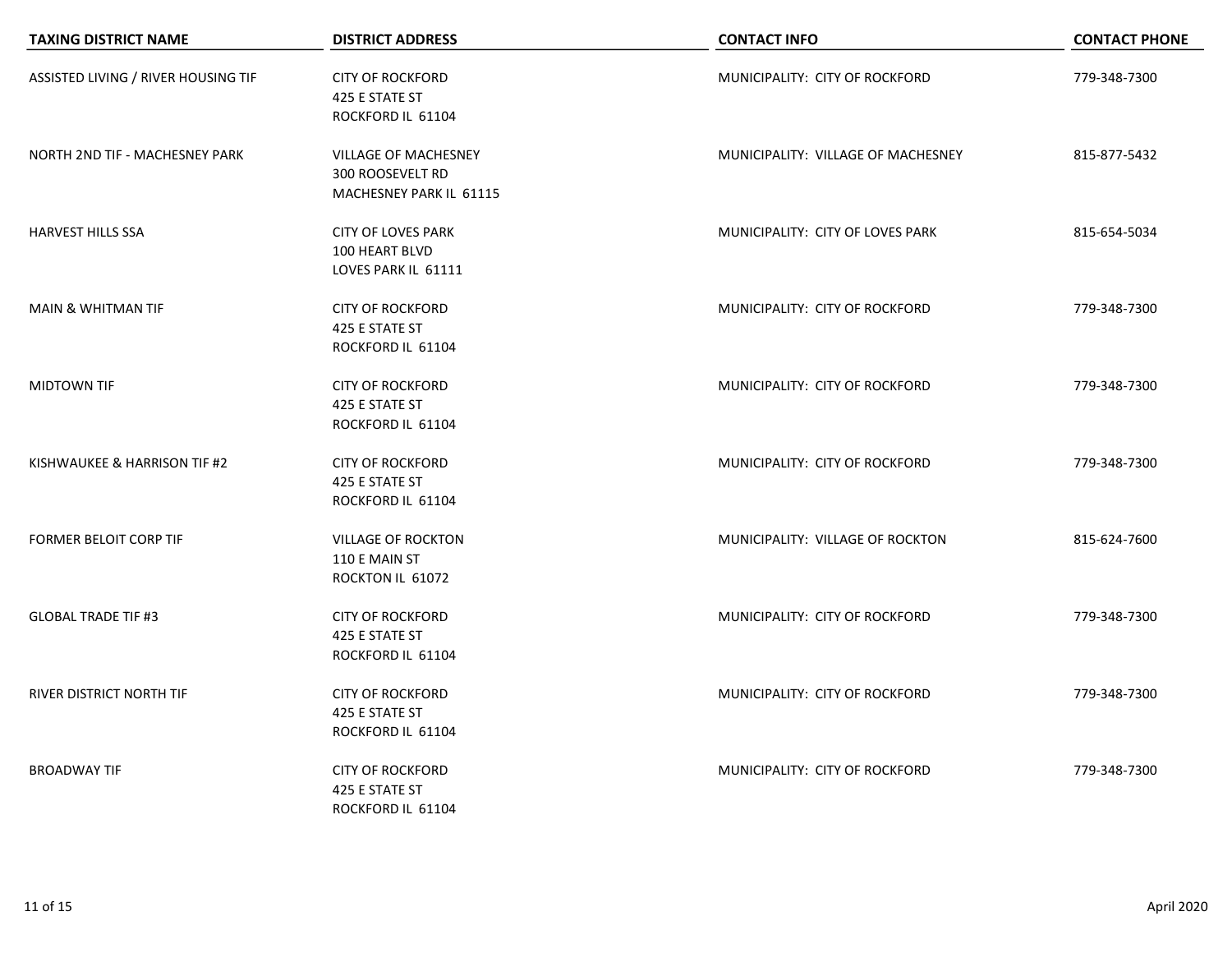| <b>TAXING DISTRICT NAME</b>         | <b>DISTRICT ADDRESS</b>                                                           | <b>CONTACT INFO</b>                | <b>CONTACT PHONE</b> |
|-------------------------------------|-----------------------------------------------------------------------------------|------------------------------------|----------------------|
| ASSISTED LIVING / RIVER HOUSING TIF | <b>CITY OF ROCKFORD</b><br>425 E STATE ST<br>ROCKFORD IL 61104                    | MUNICIPALITY: CITY OF ROCKFORD     | 779-348-7300         |
| NORTH 2ND TIF - MACHESNEY PARK      | <b>VILLAGE OF MACHESNEY</b><br><b>300 ROOSEVELT RD</b><br>MACHESNEY PARK IL 61115 | MUNICIPALITY: VILLAGE OF MACHESNEY | 815-877-5432         |
| <b>HARVEST HILLS SSA</b>            | <b>CITY OF LOVES PARK</b><br>100 HEART BLVD<br>LOVES PARK IL 61111                | MUNICIPALITY: CITY OF LOVES PARK   | 815-654-5034         |
| <b>MAIN &amp; WHITMAN TIF</b>       | <b>CITY OF ROCKFORD</b><br>425 E STATE ST<br>ROCKFORD IL 61104                    | MUNICIPALITY: CITY OF ROCKFORD     | 779-348-7300         |
| MIDTOWN TIF                         | <b>CITY OF ROCKFORD</b><br>425 E STATE ST<br>ROCKFORD IL 61104                    | MUNICIPALITY: CITY OF ROCKFORD     | 779-348-7300         |
| KISHWAUKEE & HARRISON TIF #2        | <b>CITY OF ROCKFORD</b><br>425 E STATE ST<br>ROCKFORD IL 61104                    | MUNICIPALITY: CITY OF ROCKFORD     | 779-348-7300         |
| <b>FORMER BELOIT CORP TIF</b>       | <b>VILLAGE OF ROCKTON</b><br>110 E MAIN ST<br>ROCKTON IL 61072                    | MUNICIPALITY: VILLAGE OF ROCKTON   | 815-624-7600         |
| <b>GLOBAL TRADE TIF #3</b>          | <b>CITY OF ROCKFORD</b><br>425 E STATE ST<br>ROCKFORD IL 61104                    | MUNICIPALITY: CITY OF ROCKFORD     | 779-348-7300         |
| RIVER DISTRICT NORTH TIF            | <b>CITY OF ROCKFORD</b><br>425 E STATE ST<br>ROCKFORD IL 61104                    | MUNICIPALITY: CITY OF ROCKFORD     | 779-348-7300         |
| <b>BROADWAY TIF</b>                 | <b>CITY OF ROCKFORD</b><br>425 E STATE ST<br>ROCKFORD IL 61104                    | MUNICIPALITY: CITY OF ROCKFORD     | 779-348-7300         |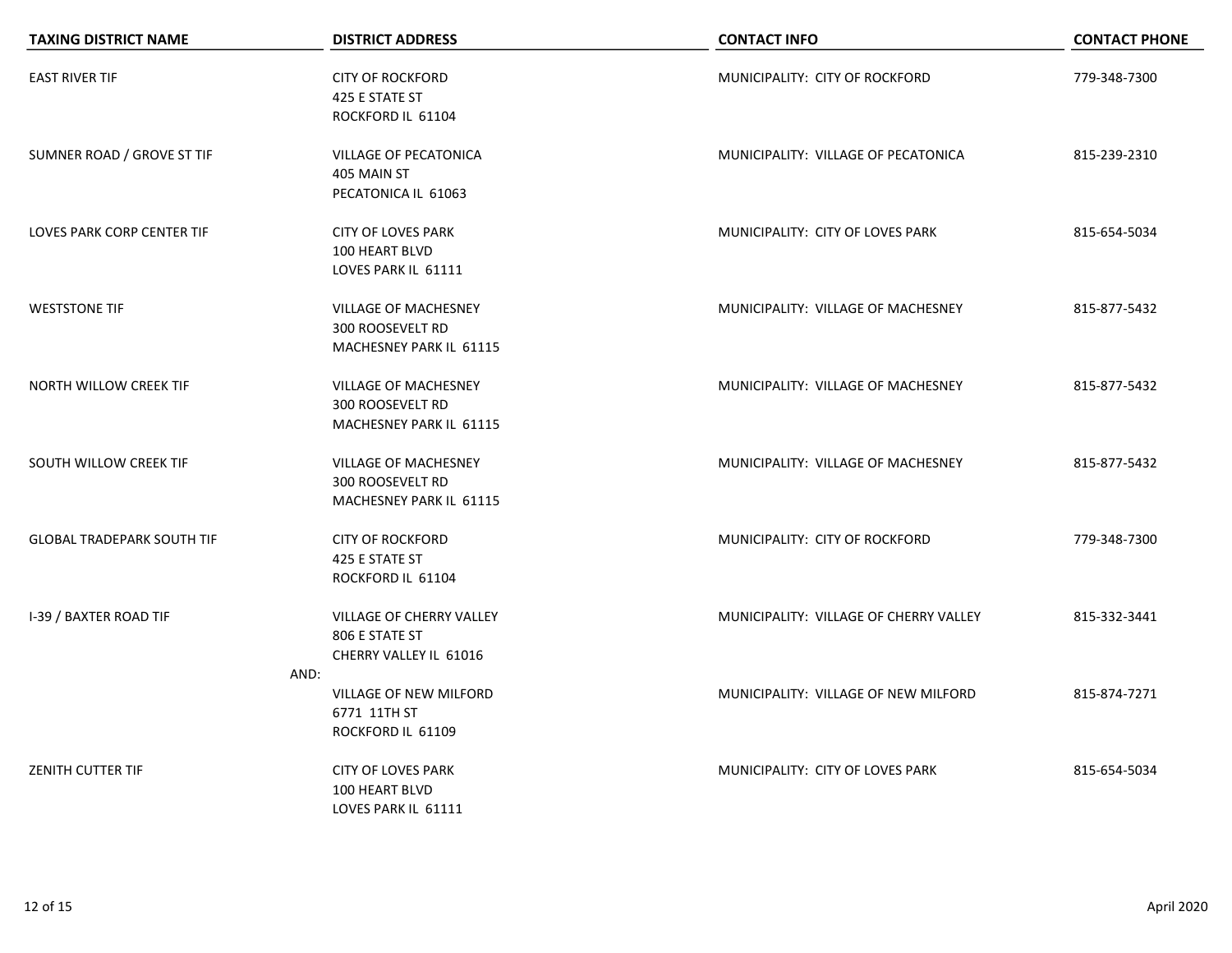| <b>TAXING DISTRICT NAME</b>       | <b>DISTRICT ADDRESS</b>                                                           | <b>CONTACT INFO</b>                    | <b>CONTACT PHONE</b> |
|-----------------------------------|-----------------------------------------------------------------------------------|----------------------------------------|----------------------|
| <b>EAST RIVER TIF</b>             | <b>CITY OF ROCKFORD</b><br>425 E STATE ST<br>ROCKFORD IL 61104                    | MUNICIPALITY: CITY OF ROCKFORD         | 779-348-7300         |
| SUMNER ROAD / GROVE ST TIF        | <b>VILLAGE OF PECATONICA</b><br>405 MAIN ST<br>PECATONICA IL 61063                | MUNICIPALITY: VILLAGE OF PECATONICA    | 815-239-2310         |
| <b>LOVES PARK CORP CENTER TIF</b> | <b>CITY OF LOVES PARK</b><br>100 HEART BLVD<br>LOVES PARK IL 61111                | MUNICIPALITY: CITY OF LOVES PARK       | 815-654-5034         |
| <b>WESTSTONE TIF</b>              | <b>VILLAGE OF MACHESNEY</b><br>300 ROOSEVELT RD<br>MACHESNEY PARK IL 61115        | MUNICIPALITY: VILLAGE OF MACHESNEY     | 815-877-5432         |
| NORTH WILLOW CREEK TIF            | <b>VILLAGE OF MACHESNEY</b><br><b>300 ROOSEVELT RD</b><br>MACHESNEY PARK IL 61115 | MUNICIPALITY: VILLAGE OF MACHESNEY     | 815-877-5432         |
| SOUTH WILLOW CREEK TIF            | <b>VILLAGE OF MACHESNEY</b><br><b>300 ROOSEVELT RD</b><br>MACHESNEY PARK IL 61115 | MUNICIPALITY: VILLAGE OF MACHESNEY     | 815-877-5432         |
| <b>GLOBAL TRADEPARK SOUTH TIF</b> | <b>CITY OF ROCKFORD</b><br>425 E STATE ST<br>ROCKFORD IL 61104                    | MUNICIPALITY: CITY OF ROCKFORD         | 779-348-7300         |
| I-39 / BAXTER ROAD TIF            | VILLAGE OF CHERRY VALLEY<br>806 E STATE ST<br>CHERRY VALLEY IL 61016              | MUNICIPALITY: VILLAGE OF CHERRY VALLEY | 815-332-3441         |
|                                   | AND:<br>VILLAGE OF NEW MILFORD<br>6771 11TH ST<br>ROCKFORD IL 61109               | MUNICIPALITY: VILLAGE OF NEW MILFORD   | 815-874-7271         |
| <b>ZENITH CUTTER TIF</b>          | <b>CITY OF LOVES PARK</b><br>100 HEART BLVD<br>LOVES PARK IL 61111                | MUNICIPALITY: CITY OF LOVES PARK       | 815-654-5034         |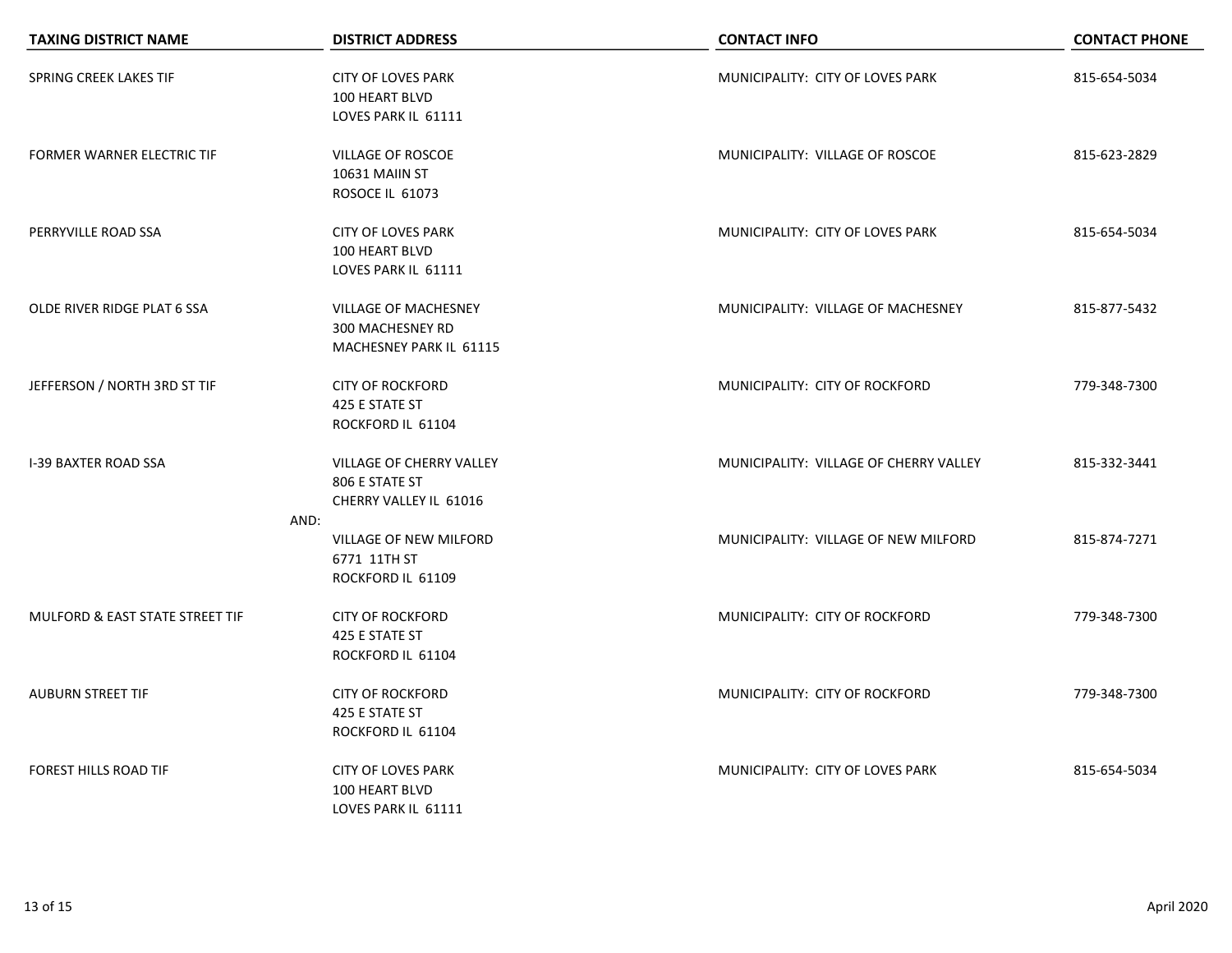| <b>TAXING DISTRICT NAME</b>       | <b>DISTRICT ADDRESS</b>                                                    | <b>CONTACT INFO</b>                    | <b>CONTACT PHONE</b> |
|-----------------------------------|----------------------------------------------------------------------------|----------------------------------------|----------------------|
| SPRING CREEK LAKES TIF            | <b>CITY OF LOVES PARK</b><br>100 HEART BLVD<br>LOVES PARK IL 61111         | MUNICIPALITY: CITY OF LOVES PARK       | 815-654-5034         |
| <b>FORMER WARNER ELECTRIC TIF</b> | VILLAGE OF ROSCOE<br>10631 MAIIN ST<br>ROSOCE IL 61073                     | MUNICIPALITY: VILLAGE OF ROSCOE        | 815-623-2829         |
| PERRYVILLE ROAD SSA               | <b>CITY OF LOVES PARK</b><br>100 HEART BLVD<br>LOVES PARK IL 61111         | MUNICIPALITY: CITY OF LOVES PARK       | 815-654-5034         |
| OLDE RIVER RIDGE PLAT 6 SSA       | <b>VILLAGE OF MACHESNEY</b><br>300 MACHESNEY RD<br>MACHESNEY PARK IL 61115 | MUNICIPALITY: VILLAGE OF MACHESNEY     | 815-877-5432         |
| JEFFERSON / NORTH 3RD ST TIF      | <b>CITY OF ROCKFORD</b><br>425 E STATE ST<br>ROCKFORD IL 61104             | MUNICIPALITY: CITY OF ROCKFORD         | 779-348-7300         |
| <b>I-39 BAXTER ROAD SSA</b>       | VILLAGE OF CHERRY VALLEY<br>806 E STATE ST<br>CHERRY VALLEY IL 61016       | MUNICIPALITY: VILLAGE OF CHERRY VALLEY | 815-332-3441         |
|                                   | AND:<br>VILLAGE OF NEW MILFORD<br>6771 11TH ST<br>ROCKFORD IL 61109        | MUNICIPALITY: VILLAGE OF NEW MILFORD   | 815-874-7271         |
| MULFORD & EAST STATE STREET TIF   | <b>CITY OF ROCKFORD</b><br>425 E STATE ST<br>ROCKFORD IL 61104             | MUNICIPALITY: CITY OF ROCKFORD         | 779-348-7300         |
| <b>AUBURN STREET TIF</b>          | <b>CITY OF ROCKFORD</b><br>425 E STATE ST<br>ROCKFORD IL 61104             | MUNICIPALITY: CITY OF ROCKFORD         | 779-348-7300         |
| FOREST HILLS ROAD TIF             | <b>CITY OF LOVES PARK</b><br>100 HEART BLVD<br>LOVES PARK IL 61111         | MUNICIPALITY: CITY OF LOVES PARK       | 815-654-5034         |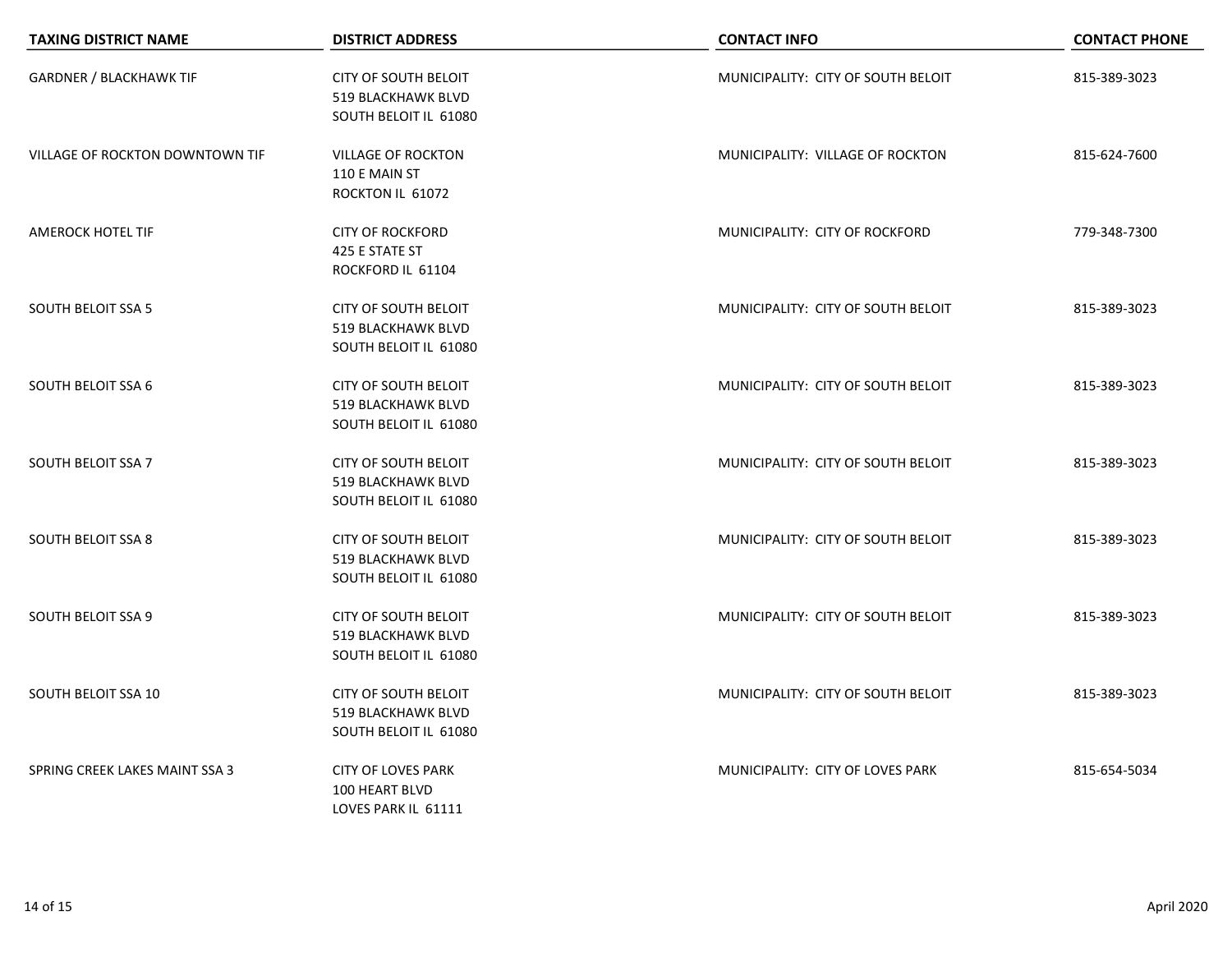| <b>TAXING DISTRICT NAME</b>            | <b>DISTRICT ADDRESS</b>                                                           | <b>CONTACT INFO</b>                | <b>CONTACT PHONE</b> |
|----------------------------------------|-----------------------------------------------------------------------------------|------------------------------------|----------------------|
| <b>GARDNER / BLACKHAWK TIF</b>         | <b>CITY OF SOUTH BELOIT</b><br>519 BLACKHAWK BLVD<br>SOUTH BELOIT IL 61080        | MUNICIPALITY: CITY OF SOUTH BELOIT | 815-389-3023         |
| <b>VILLAGE OF ROCKTON DOWNTOWN TIF</b> | <b>VILLAGE OF ROCKTON</b><br>110 E MAIN ST<br>ROCKTON IL 61072                    | MUNICIPALITY: VILLAGE OF ROCKTON   | 815-624-7600         |
| <b>AMEROCK HOTEL TIF</b>               | <b>CITY OF ROCKFORD</b><br>425 E STATE ST<br>ROCKFORD IL 61104                    | MUNICIPALITY: CITY OF ROCKFORD     | 779-348-7300         |
| <b>SOUTH BELOIT SSA 5</b>              | <b>CITY OF SOUTH BELOIT</b><br>519 BLACKHAWK BLVD<br>SOUTH BELOIT IL 61080        | MUNICIPALITY: CITY OF SOUTH BELOIT | 815-389-3023         |
| <b>SOUTH BELOIT SSA 6</b>              | <b>CITY OF SOUTH BELOIT</b><br>519 BLACKHAWK BLVD<br>SOUTH BELOIT IL 61080        | MUNICIPALITY: CITY OF SOUTH BELOIT | 815-389-3023         |
| <b>SOUTH BELOIT SSA 7</b>              | <b>CITY OF SOUTH BELOIT</b><br>519 BLACKHAWK BLVD<br>SOUTH BELOIT IL 61080        | MUNICIPALITY: CITY OF SOUTH BELOIT | 815-389-3023         |
| <b>SOUTH BELOIT SSA 8</b>              | <b>CITY OF SOUTH BELOIT</b><br>519 BLACKHAWK BLVD<br>SOUTH BELOIT IL 61080        | MUNICIPALITY: CITY OF SOUTH BELOIT | 815-389-3023         |
| <b>SOUTH BELOIT SSA 9</b>              | <b>CITY OF SOUTH BELOIT</b><br><b>519 BLACKHAWK BLVD</b><br>SOUTH BELOIT IL 61080 | MUNICIPALITY: CITY OF SOUTH BELOIT | 815-389-3023         |
| SOUTH BELOIT SSA 10                    | <b>CITY OF SOUTH BELOIT</b><br><b>519 BLACKHAWK BLVD</b><br>SOUTH BELOIT IL 61080 | MUNICIPALITY: CITY OF SOUTH BELOIT | 815-389-3023         |
| SPRING CREEK LAKES MAINT SSA 3         | <b>CITY OF LOVES PARK</b><br>100 HEART BLVD<br>LOVES PARK IL 61111                | MUNICIPALITY: CITY OF LOVES PARK   | 815-654-5034         |